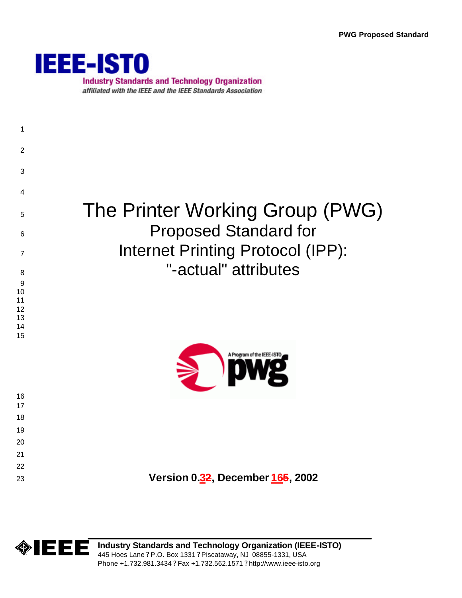





**Industry Standards and Technology Organization (IEEE-ISTO)** 445 Hoes Lane ? P.O. Box 1331 ? Piscataway, NJ 08855-1331, USA Phone +1.732.981.3434 ? Fax +1.732.562.1571 ? http://www.ieee-isto.org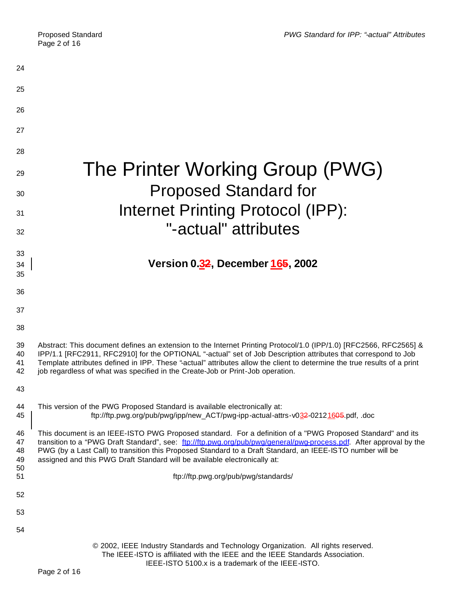| 24                               |                                                                                                                                                                                                                                                                                                                                                                                                                                                                      |
|----------------------------------|----------------------------------------------------------------------------------------------------------------------------------------------------------------------------------------------------------------------------------------------------------------------------------------------------------------------------------------------------------------------------------------------------------------------------------------------------------------------|
| 25                               |                                                                                                                                                                                                                                                                                                                                                                                                                                                                      |
| 26                               |                                                                                                                                                                                                                                                                                                                                                                                                                                                                      |
| 27                               |                                                                                                                                                                                                                                                                                                                                                                                                                                                                      |
| 28                               |                                                                                                                                                                                                                                                                                                                                                                                                                                                                      |
| 29                               | The Printer Working Group (PWG)                                                                                                                                                                                                                                                                                                                                                                                                                                      |
| 30                               | <b>Proposed Standard for</b>                                                                                                                                                                                                                                                                                                                                                                                                                                         |
| 31                               | <b>Internet Printing Protocol (IPP):</b>                                                                                                                                                                                                                                                                                                                                                                                                                             |
| 32                               | "-actual" attributes                                                                                                                                                                                                                                                                                                                                                                                                                                                 |
| 33<br>34<br>35                   | Version 0.32, December 165, 2002                                                                                                                                                                                                                                                                                                                                                                                                                                     |
| 36                               |                                                                                                                                                                                                                                                                                                                                                                                                                                                                      |
| 37                               |                                                                                                                                                                                                                                                                                                                                                                                                                                                                      |
| 38                               |                                                                                                                                                                                                                                                                                                                                                                                                                                                                      |
| 39<br>40<br>41<br>42             | Abstract: This document defines an extension to the Internet Printing Protocol/1.0 (IPP/1.0) [RFC2566, RFC2565] &<br>IPP/1.1 [RFC2911, RFC2910] for the OPTIONAL "-actual" set of Job Description attributes that correspond to Job<br>Template attributes defined in IPP. These "actual" attributes allow the client to determine the true results of a print<br>job regardless of what was specified in the Create-Job or Print-Job operation.                     |
| 43                               |                                                                                                                                                                                                                                                                                                                                                                                                                                                                      |
| 44<br>45                         | This version of the PWG Proposed Standard is available electronically at:<br>ftp://ftp.pwg.org/pub/pwg/ipp/new_ACT/pwg-ipp-actual-attrs-v032-02121605.pdf, .doc                                                                                                                                                                                                                                                                                                      |
| 46<br>47<br>48<br>49<br>50<br>51 | This document is an IEEE-ISTO PWG Proposed standard. For a definition of a "PWG Proposed Standard" and its<br>transition to a "PWG Draft Standard", see: ftp://ftp.pwg.org/pub/pwg/general/pwg-process.pdf. After approval by the<br>PWG (by a Last Call) to transition this Proposed Standard to a Draft Standard, an IEEE-ISTO number will be<br>assigned and this PWG Draft Standard will be available electronically at:<br>ftp://ftp.pwg.org/pub/pwg/standards/ |
| 52                               |                                                                                                                                                                                                                                                                                                                                                                                                                                                                      |
| 53                               |                                                                                                                                                                                                                                                                                                                                                                                                                                                                      |
| 54                               |                                                                                                                                                                                                                                                                                                                                                                                                                                                                      |
|                                  | © 2002, IEEE Industry Standards and Technology Organization. All rights reserved.<br>The IEEE-ISTO is affiliated with the IEEE and the IEEE Standards Association.<br>IEEE-ISTO 5100.x is a trademark of the IEEE-ISTO.                                                                                                                                                                                                                                              |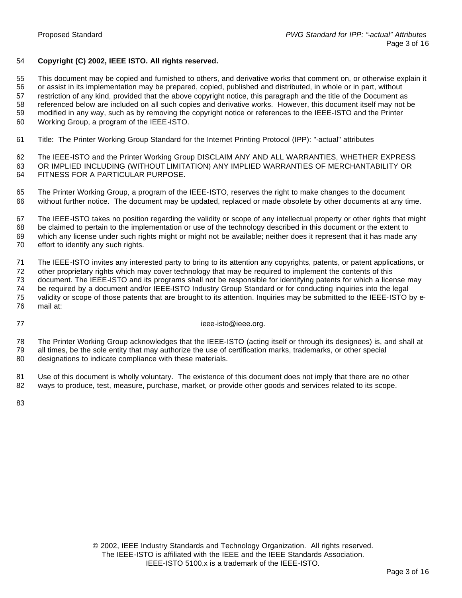### **Copyright (C) 2002, IEEE ISTO. All rights reserved.**

 This document may be copied and furnished to others, and derivative works that comment on, or otherwise explain it or assist in its implementation may be prepared, copied, published and distributed, in whole or in part, without restriction of any kind, provided that the above copyright notice, this paragraph and the title of the Document as referenced below are included on all such copies and derivative works. However, this document itself may not be modified in any way, such as by removing the copyright notice or references to the IEEE-ISTO and the Printer Working Group, a program of the IEEE-ISTO.

Title: The Printer Working Group Standard for the Internet Printing Protocol (IPP): "-actual" attributes

 The IEEE-ISTO and the Printer Working Group DISCLAIM ANY AND ALL WARRANTIES, WHETHER EXPRESS OR IMPLIED INCLUDING (WITHOUT LIMITATION) ANY IMPLIED WARRANTIES OF MERCHANTABILITY OR FITNESS FOR A PARTICULAR PURPOSE.

 The Printer Working Group, a program of the IEEE-ISTO, reserves the right to make changes to the document without further notice. The document may be updated, replaced or made obsolete by other documents at any time.

 The IEEE-ISTO takes no position regarding the validity or scope of any intellectual property or other rights that might be claimed to pertain to the implementation or use of the technology described in this document or the extent to which any license under such rights might or might not be available; neither does it represent that it has made any effort to identify any such rights.

The IEEE-ISTO invites any interested party to bring to its attention any copyrights, patents, or patent applications, or

other proprietary rights which may cover technology that may be required to implement the contents of this

 document. The IEEE-ISTO and its programs shall not be responsible for identifying patents for which a license may be required by a document and/or IEEE-ISTO Industry Group Standard or for conducting inquiries into the legal

- validity or scope of those patents that are brought to its attention. Inquiries may be submitted to the IEEE-ISTO by e-mail at:
- 

### 77 ieee-isto@ieee.org.

 The Printer Working Group acknowledges that the IEEE-ISTO (acting itself or through its designees) is, and shall at all times, be the sole entity that may authorize the use of certification marks, trademarks, or other special designations to indicate compliance with these materials.

 Use of this document is wholly voluntary. The existence of this document does not imply that there are no other ways to produce, test, measure, purchase, market, or provide other goods and services related to its scope.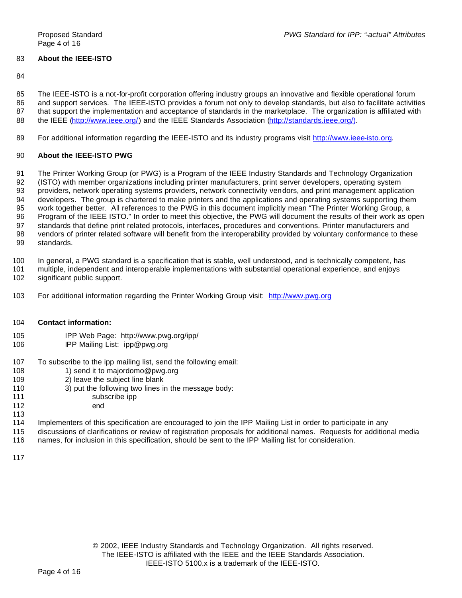### **About the IEEE-ISTO**

 The IEEE-ISTO is a not-for-profit corporation offering industry groups an innovative and flexible operational forum and support services. The IEEE-ISTO provides a forum not only to develop standards, but also to facilitate activities 87 that support the implementation and acceptance of standards in the marketplace. The organization is affiliated with 88 the IEEE (http://www.ieee.org/) and the IEEE Standards Association (http://standards.ieee.org/).

For additional information regarding the IEEE-ISTO and its industry programs visit http://www.ieee-isto.org.

### **About the IEEE-ISTO PWG**

 The Printer Working Group (or PWG) is a Program of the IEEE Industry Standards and Technology Organization (ISTO) with member organizations including printer manufacturers, print server developers, operating system providers, network operating systems providers, network connectivity vendors, and print management application 94 developers. The group is chartered to make printers and the applications and operating systems supporting them work together better. All references to the PWG in this document implicitly mean "The Printer Working Group, a Program of the IEEE ISTO." In order to meet this objective, the PWG will document the results of their work as open standards that define print related protocols, interfaces, procedures and conventions. Printer manufacturers and vendors of printer related software will benefit from the interoperability provided by voluntary conformance to these standards.

In general, a PWG standard is a specification that is stable, well understood, and is technically competent, has

- multiple, independent and interoperable implementations with substantial operational experience, and enjoys significant public support.
- For additional information regarding the Printer Working Group visit: http://www.pwg.org

### **Contact information:**

- IPP Web Page: http://www.pwg.org/ipp/
- IPP Mailing List: ipp@pwg.org
- To subscribe to the ipp mailing list, send the following email:
- 108 1) send it to majordomo@pwg.org
- 2) leave the subject line blank
- 110 3) put the following two lines in the message body:
- 111 subscribe ipp
- end
- Implementers of this specification are encouraged to join the IPP Mailing List in order to participate in any
- discussions of clarifications or review of registration proposals for additional names. Requests for additional media
- names, for inclusion in this specification, should be sent to the IPP Mailing list for consideration.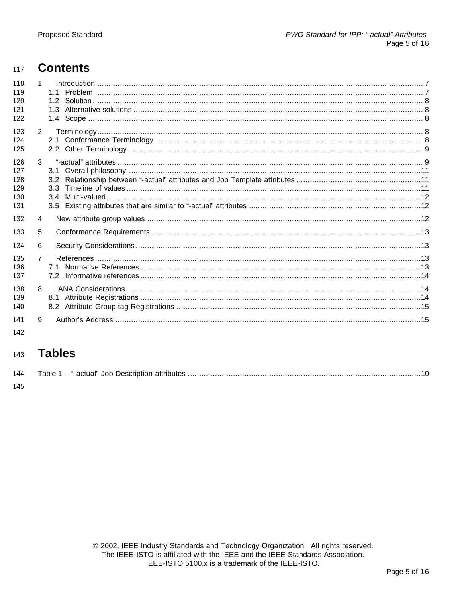#### **Contents** 117

| 118<br>119<br>120<br>121<br>122        | 1              | 1.2<br>1.3<br>1.4                          |  |
|----------------------------------------|----------------|--------------------------------------------|--|
| 123<br>124<br>125                      | 2              | $2.2^{\circ}$                              |  |
| 126<br>127<br>128<br>129<br>130<br>131 | 3              | 3.1<br>3.2<br>3 <sup>3</sup><br>3.4<br>3.5 |  |
| 132                                    | 4              |                                            |  |
| 133                                    | 5              |                                            |  |
| 134                                    | 6              |                                            |  |
| 135<br>136<br>137                      | $\overline{7}$ | 71<br>72                                   |  |
| 138<br>139<br>140                      | 8              | 8.1<br>8.2                                 |  |
| 141                                    | 9              |                                            |  |

## 142

#### **Tables** 143

| 145 |  |
|-----|--|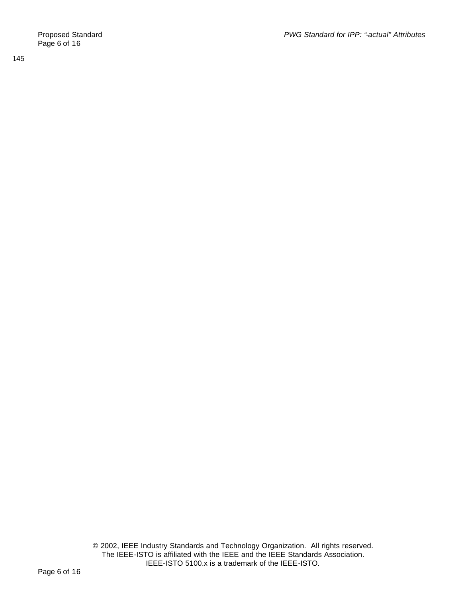Page 6 of 16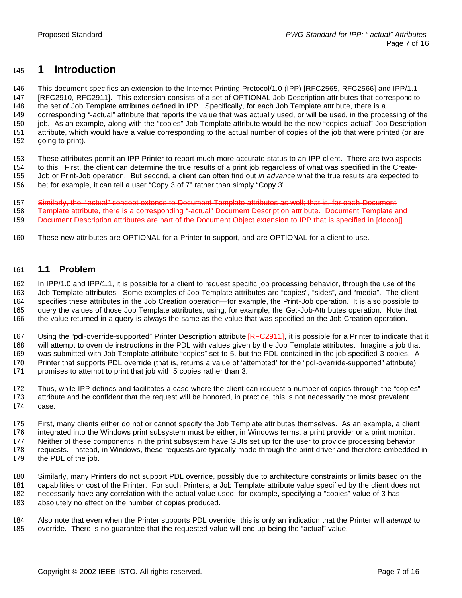## **1 Introduction**

 This document specifies an extension to the Internet Printing Protocol/1.0 (IPP) [RFC2565, RFC2566] and IPP/1.1 [RFC2910, RFC2911]. This extension consists of a set of OPTIONAL Job Description attributes that correspond to the set of Job Template attributes defined in IPP. Specifically, for each Job Template attribute, there is a corresponding "-actual" attribute that reports the value that was actually used, or will be used, in the processing of the job. As an example, along with the "copies" Job Template attribute would be the new "copies-actual" Job Description attribute, which would have a value corresponding to the actual number of copies of the job that were printed (or are going to print).

 These attributes permit an IPP Printer to report much more accurate status to an IPP client. There are two aspects to this. First, the client can determine the true results of a print job regardless of what was specified in the Create- Job or Print-Job operation. But second, a client can often find out *in advance* what the true results are expected to be; for example, it can tell a user "Copy 3 of 7" rather than simply "Copy 3".

Similarly, the "-actual" concept extends to Document Template attributes as well; that is, for each Document

Template attribute, there is a corresponding "-actual" Document Description attribute. Document Template and

Document Description attributes are part of the Document Object extension to IPP that is specified in [docobj].

These new attributes are OPTIONAL for a Printer to support, and are OPTIONAL for a client to use.

### **1.1 Problem**

 In IPP/1.0 and IPP/1.1, it is possible for a client to request specific job processing behavior, through the use of the Job Template attributes. Some examples of Job Template attributes are "copies", "sides", and "media". The client specifies these attributes in the Job Creation operation—for example, the Print-Job operation. It is also possible to query the values of those Job Template attributes, using, for example, the Get-Job-Attributes operation. Note that the value returned in a query is always the same as the value that was specified on the Job Creation operation.

167 Using the "pdl-override-supported" Printer Description attribute [RFC2911], it is possible for a Printer to indicate that it will attempt to override instructions in the PDL with values given by the Job Template attributes. Imagine a job that was submitted with Job Template attribute "copies" set to 5, but the PDL contained in the job specified 3 copies. A Printer that supports PDL override (that is, returns a value of 'attempted' for the "pdl-override-supported" attribute) promises to attempt to print that job with 5 copies rather than 3.

 Thus, while IPP defines and facilitates a case where the client can request a number of copies through the "copies" attribute and be confident that the request will be honored, in practice, this is not necessarily the most prevalent case.

 First, many clients either do not or cannot specify the Job Template attributes themselves. As an example, a client integrated into the Windows print subsystem must be either, in Windows terms, a print provider or a print monitor. Neither of these components in the print subsystem have GUIs set up for the user to provide processing behavior requests. Instead, in Windows, these requests are typically made through the print driver and therefore embedded in the PDL of the job.

 Similarly, many Printers do not support PDL override, possibly due to architecture constraints or limits based on the capabilities or cost of the Printer. For such Printers, a Job Template attribute value specified by the client does not necessarily have any correlation with the actual value used; for example, specifying a "copies" value of 3 has absolutely no effect on the number of copies produced.

 Also note that even when the Printer supports PDL override, this is only an indication that the Printer will *attempt* to override. There is no guarantee that the requested value will end up being the "actual" value.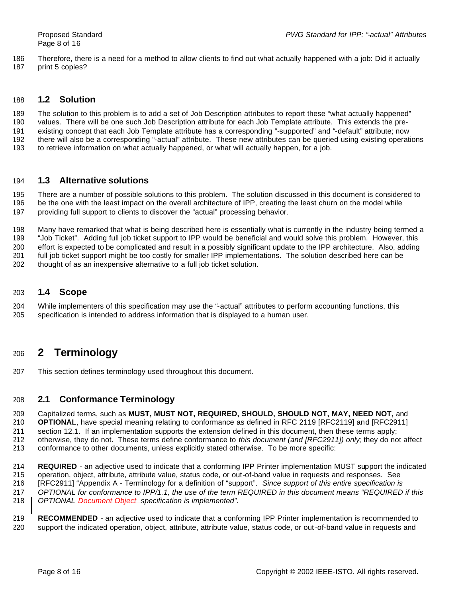Page 8 of 16

 Therefore, there is a need for a method to allow clients to find out what actually happened with a job: Did it actually print 5 copies?

## **1.2 Solution**

 The solution to this problem is to add a set of Job Description attributes to report these "what actually happened" values. There will be one such Job Description attribute for each Job Template attribute. This extends the pre- existing concept that each Job Template attribute has a corresponding "-supported" and "-default" attribute; now there will also be a corresponding "-actual" attribute. These new attributes can be queried using existing operations to retrieve information on what actually happened, or what will actually happen, for a job.

## **1.3 Alternative solutions**

 There are a number of possible solutions to this problem. The solution discussed in this document is considered to be the one with the least impact on the overall architecture of IPP, creating the least churn on the model while providing full support to clients to discover the "actual" processing behavior.

 Many have remarked that what is being described here is essentially what is currently in the industry being termed a "Job Ticket". Adding full job ticket support to IPP would be beneficial and would solve this problem. However, this effort is expected to be complicated and result in a possibly significant update to the IPP architecture. Also, adding full job ticket support might be too costly for smaller IPP implementations. The solution described here can be thought of as an inexpensive alternative to a full job ticket solution.

### **1.4 Scope**

 While implementers of this specification may use the "-actual" attributes to perform accounting functions, this specification is intended to address information that is displayed to a human user.

# **2 Terminology**

This section defines terminology used throughout this document.

### **2.1 Conformance Terminology**

Capitalized terms, such as **MUST, MUST NOT, REQUIRED, SHOULD, SHOULD NOT, MAY, NEED NOT,** and

**OPTIONAL**, have special meaning relating to conformance as defined in RFC 2119 [RFC2119] and [RFC2911]

section 12.1. If an implementation supports the extension defined in this document, then these terms apply;

 otherwise, they do not. These terms define conformance to *this document (and [RFC2911]) only*; they do not affect conformance to other documents, unless explicitly stated otherwise. To be more specific:

 **REQUIRED** - an adjective used to indicate that a conforming IPP Printer implementation MUST support the indicated operation, object, attribute, attribute value, status code, or out-of-band value in requests and responses. See [RFC2911] "Appendix A - Terminology for a definition of "support". *Since support of this entire specification is OPTIONAL for conformance to IPP/1.1, the use of the term REQUIRED in this document means "REQUIRED if this OPTIONAL Document Object specification is implemented".*

 **RECOMMENDED** - an adjective used to indicate that a conforming IPP Printer implementation is recommended to support the indicated operation, object, attribute, attribute value, status code, or out-of-band value in requests and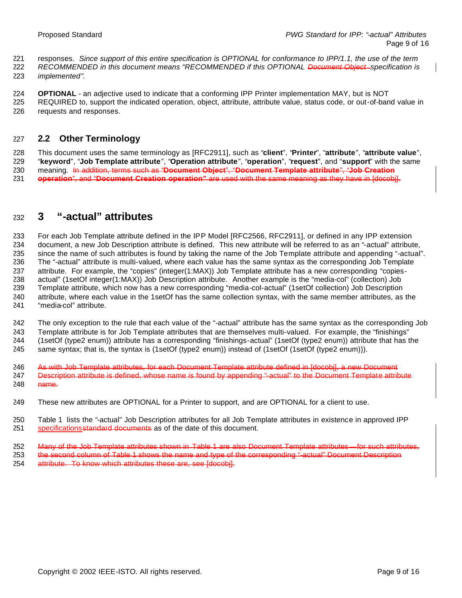responses. *Since support of this entire specification is OPTIONAL for conformance to IPP/1.1, the use of the term RECOMMENDED in this document means "RECOMMENDED if this OPTIONAL Document Object specification is implemented".*

 **OPTIONAL** - an adjective used to indicate that a conforming IPP Printer implementation MAY, but is NOT REQUIRED to, support the indicated operation, object, attribute, attribute value, status code, or out-of-band value in requests and responses.

## **2.2 Other Terminology**

 This document uses the same terminology as [RFC2911], such as "**client**", "**Printer**", "**attribute**", "**attribute value**", "**keyword**", "**Job Template attribute**", "**Operation attribute**", "**operation**", "**request**", and "**support**" with the same meaning. In addition, terms such as "**Document Object**", "**Document Template attribute**", "**Job Creation operation**", and "**Document Creation operation"** are used with the same meaning as they have in [docobj].

# **3 "-actual" attributes**

 For each Job Template attribute defined in the IPP Model [RFC2566, RFC2911], or defined in any IPP extension document, a new Job Description attribute is defined. This new attribute will be referred to as an "-actual" attribute, since the name of such attributes is found by taking the name of the Job Template attribute and appending "-actual". The "-actual" attribute is multi-valued, where each value has the same syntax as the corresponding Job Template attribute. For example, the "copies" (integer(1:MAX)) Job Template attribute has a new corresponding "copies- actual" (1setOf integer(1:MAX)) Job Description attribute. Another example is the "media-col" (collection) Job Template attribute, which now has a new corresponding "media-col-actual" (1setOf collection) Job Description attribute, where each value in the 1setOf has the same collection syntax, with the same member attributes, as the "media-col" attribute.

 The only exception to the rule that each value of the "-actual" attribute has the same syntax as the corresponding Job Template attribute is for Job Template attributes that are themselves multi-valued. For example, the "finishings" (1setOf (type2 enum)) attribute has a corresponding "finishings-actual" (1setOf (type2 enum)) attribute that has the same syntax; that is, the syntax is (1setOf (type2 enum)) instead of (1setOf (1setOf (type2 enum))).

246 As with Job Template attributes, for each Document Template attribute defined in [docobi], a new Document Description attribute is defined, whose name is found by appending "-actual" to the Document Template attribute **name.** 

These new attributes are OPTIONAL for a Printer to support, and are OPTIONAL for a client to use.

 Table 1 lists the "-actual" Job Description attributes for all Job Template attributes in existence in approved IPP specificationsstandard documents as of the date of this document.

 Many of the Job Template attributes shown in Table 1 are also Document Template attributes—for such attributes, the second column of Table 1 shows the name and type of the corresponding "-actual" Document Description

attribute. To know which attributes these are, see [docobj].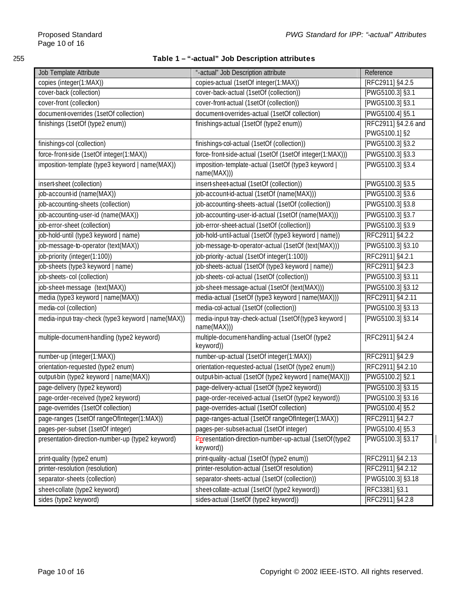## 255 **Table 1 – "-actual" Job Description attributes**

| Job Template Attribute                             | "-actual" Job Description attribute                                  | Reference            |
|----------------------------------------------------|----------------------------------------------------------------------|----------------------|
| copies (integer(1:MAX))                            | copies-actual (1setOf integer(1:MAX))                                | [RFC2911] §4.2.5     |
| cover-back (collection)                            | cover-back-actual (1setOf (collection))                              | [PWG5100.3] §3.1     |
| cover-front (collection)                           | cover-front-actual (1setOf (collection))                             | [PWG5100.3] §3.1     |
| document overrides (1setOf collection)             | document overrides-actual (1setOf collection)                        | [PWG5100.4] §5.1     |
| finishings (1setOf (type2 enum))                   | finishings-actual (1setOf (type2 enum))                              | [RFC2911] §4.2.6 and |
|                                                    |                                                                      | [PWG5100.1] §2       |
| finishings-col (collection)                        | finishings-col-actual (1setOf (collection))                          | [PWG5100.3] §3.2     |
| force-front-side (1setOf integer(1:MAX))           | force-front-side-actual (1setOf (1setOf integer(1:MAX)))             | [PWG5100.3] §3.3     |
| imposition-template (type3 keyword   name(MAX))    | imposition-template-actual (1setOf (type3 keyword  <br>name(MAX)))   | [PWG5100.3] §3.4     |
| insert-sheet (collection)                          | insert-sheet-actual (1setOf (collection))                            | [PWG5100.3] §3.5     |
| job-account-id (name(MAX))                         | job-account-id-actual (1setOf (name(MAX)))                           | [PWG5100.3] §3.6     |
| job-accounting-sheets (collection)                 | job-accounting-sheets-actual (1setOf (collection))                   | [PWG5100.3] §3.8     |
| job-accounting-user-id (name(MAX))                 | job-accounting-user-id-actual (1setOf (name(MAX)))                   | [PWG5100.3] §3.7     |
| job-error-sheet (collection)                       | job-error-sheet-actual (1setOf (collection))                         | [PWG5100.3] §3.9     |
| job-hold-until (type3 keyword   name)              | job-hold-until-actual (1setOf (type3 keyword   name))                | [RFC2911] §4.2.2     |
| job-message-to-operator (text(MAX))                | job-message-to-operator-actual (1setOf (text(MAX)))                  | [PWG5100.3] §3.10    |
| job-priority (integer(1:100))                      | job-priority-actual (1setOf integer(1:100))                          | [RFC2911] §4.2.1     |
| job-sheets (type3 keyword   name)                  | job-sheets-actual (1setOf (type3 keyword   name))                    | [RFC2911] §4.2.3     |
| job-sheets-col (collection)                        | job-sheets-col-actual (1setOf (collection))                          | [PWG5100.3] §3.11    |
| job-sheet-message (text(MAX))                      | job-sheet-message-actual (1setOf (text(MAX)))                        | [PWG5100.3] §3.12    |
| media (type3 keyword   name(MAX))                  | media-actual (1setOf (type3 keyword   name(MAX)))                    | [RFC2911] §4.2.11    |
| media-col (collection)                             | media-col-actual (1setOf (collection))                               | [PWG5100.3] §3.13    |
| media-input-tray-check (type3 keyword   name(MAX)) | media-input tray-check-actual (1setOf(type3 keyword  <br>name(MAX))) | [PWG5100.3] §3.14    |
| multiple-document-handling (type2 keyword)         | multiple-document-handling-actual (1setOf (type2<br>keyword))        | [RFC2911] §4.2.4     |
| number-up (integer(1:MAX))                         | number-up-actual (1setOf integer(1:MAX))                             | [RFC2911] §4.2.9     |
| orientation-requested (type2 enum)                 | orientation-requested-actual (1setOf (type2 enum))                   | [RFC2911] §4.2.10    |
| output-bin (type2 keyword   name(MAX))             | output-bin-actual (1setOf (type2 keyword   name(MAX)))               | [PWG5100.2] §2.1     |
| page-delivery (type2 keyword)                      | page-delivery-actual (1setOf (type2 keyword))                        | [PWG5100.3] §3.15    |
| page-order-received (type2 keyword)                | page-order-received-actual (1setOf (type2 keyword))                  | [PWG5100.3] §3.16    |
| page-overrides (1setOf collection)                 | page-overrides-actual (1setOf collection)                            | [PWG5100.4] §5.2     |
| page-ranges (1setOf rangeOfInteger(1:MAX))         | page-ranges-actual (1setOf rangeOfInteger(1:MAX))                    | [RFC2911] §4.2.7     |
| pages-per-subset (1setOf integer)                  | pages-per-subset-actual (1setOf integer)                             | [PWG5100.4] §5.3     |
| presentation-direction-number-up (type2 keyword)   | Ppresentation-direction-number-up-actual (1setOf(type2<br>keyword))  | [PWG5100.3] §3.17    |
| print-quality (type2 enum)                         | print-quality-actual (1setOf (type2 enum))                           | [RFC2911] §4.2.13    |
| printer-resolution (resolution)                    | printer-resolution-actual (1setOf resolution)                        | [RFC2911] §4.2.12    |
| separator-sheets (collection)                      | separator-sheets-actual (1setOf (collection))                        | [PWG5100.3] §3.18    |
| sheet-collate (type2 keyword)                      | sheet-collate-actual (1setOf (type2 keyword))                        | [RFC3381] §3.1       |
| sides (type2 keyword)                              | sides-actual (1setOf (type2 keyword))                                | [RFC2911] §4.2.8     |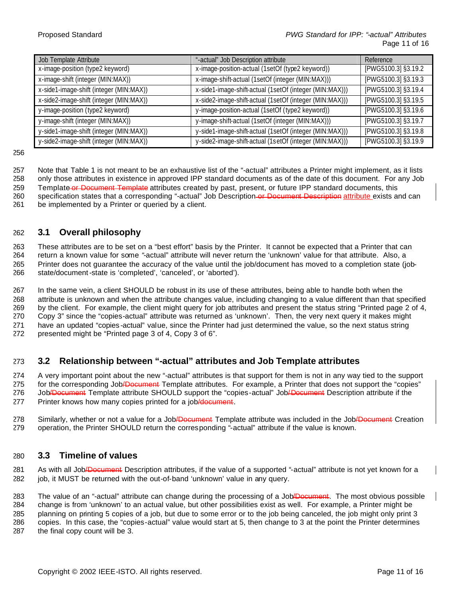| Job Template Attribute                  | "-actual" Job Description attribute                     | Reference           |
|-----------------------------------------|---------------------------------------------------------|---------------------|
| x-image-position (type2 keyword)        | x-image-position-actual (1setOf (type2 keyword))        | [PWG5100.3] §3.19.2 |
| x-image-shift (integer (MIN:MAX))       | x-image-shift-actual (1setOf (integer (MIN:MAX)))       | [PWG5100.3] §3.19.3 |
| x-side1-image-shift (integer (MIN:MAX)) | x-side1-image-shift-actual (1setOf (integer (MIN:MAX))) | [PWG5100.3] §3.19.4 |
| x-side2-image-shift (integer (MIN:MAX)) | x-side2-image-shift-actual (1setOf (integer (MIN:MAX))) | [PWG5100.3] §3.19.5 |
| y-image-position (type2 keyword)        | y-image-position-actual (1setOf (type2 keyword))        | [PWG5100.3] §3.19.6 |
| y-image-shift (integer (MIN:MAX))       | y-image-shift-actual (1setOf (integer (MIN:MAX)))       | [PWG5100.3] §3.19.7 |
| y-side1-image-shift (integer (MIN:MAX)) | y-side1-image-shift-actual (1setOf (integer (MIN:MAX))) | [PWG5100.3] §3.19.8 |
| y-side2-image-shift (integer (MIN:MAX)) | y-side2-image-shift-actual (1setOf (integer (MIN:MAX))) | [PWG5100.3] §3.19.9 |

256

257 Note that Table 1 is not meant to be an exhaustive list of the "-actual" attributes a Printer might implement, as it lists 258 only those attributes in existence in approved IPP standard documents as of the date of this document. For any Job 259 Template or Document Template attributes created by past, present, or future IPP standard documents, this 260 specification states that a corresponding "-actual" Job Description-or Document Description attribute exists and can 261 be implemented by a Printer or queried by a client.

## 262 **3.1 Overall philosophy**

 These attributes are to be set on a "best effort" basis by the Printer. It cannot be expected that a Printer that can return a known value for some "-actual" attribute will never return the 'unknown' value for that attribute. Also, a Printer does not guarantee the accuracy of the value until the job/document has moved to a completion state (job-state/document-state is 'completed', 'canceled', or 'aborted').

 In the same vein, a client SHOULD be robust in its use of these attributes, being able to handle both when the attribute is unknown and when the attribute changes value, including changing to a value different than that specified by the client. For example, the client might query for job attributes and present the status string "Printed page 2 of 4, Copy 3" since the "copies-actual" attribute was returned as 'unknown'. Then, the very next query it makes might have an updated "copies -actual" value, since the Printer had just determined the value, so the next status string presented might be "Printed page 3 of 4, Copy 3 of 6".

## 273 **3.2 Relationship between "-actual" attributes and Job Template attributes**

274 A very important point about the new "-actual" attributes is that support for them is not in any way tied to the support 275 for the corresponding Job/Document Template attributes. For example, a Printer that does not support the "copies" 276 Job/Document Template attribute SHOULD support the "copies-actual" Job/Document Description attribute if the 277 Printer knows how many copies printed for a job/document.

278 Similarly, whether or not a value for a Job/Document Template attribute was included in the Job/Document Creation 279 operation, the Printer SHOULD return the corresponding "-actual" attribute if the value is known.

## 280 **3.3 Timeline of values**

281 As with all Job/Document Description attributes, if the value of a supported "-actual" attribute is not yet known for a 282 job, it MUST be returned with the out-of-band 'unknown' value in any query.

283 The value of an "-actual" attribute can change during the processing of a Job/Document. The most obvious possible change is from 'unknown' to an actual value, but other possibilities exist as well. For example, a Printer might be planning on printing 5 copies of a job, but due to some error or to the job being canceled, the job might only print 3 copies. In this case, the "copies-actual" value would start at 5, then change to 3 at the point the Printer determines the final copy count will be 3.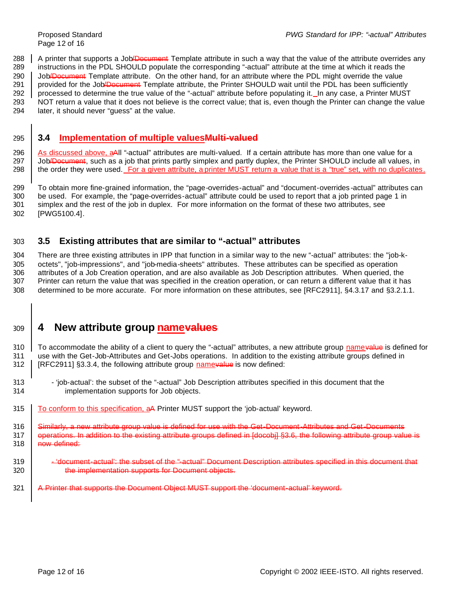Page 12 of 16

288 A printer that supports a Job/Document Template attribute in such a way that the value of the attribute overrides any instructions in the PDL SHOULD populate the corresponding "-actual" attribute at the time at which it reads the 290 Job/Document Template attribute. On the other hand, for an attribute where the PDL might override the value 291 provided for the Job/Document Template attribute, the Printer SHOULD wait until the PDL has been sufficiently processed to determine the true value of the "-actual" attribute before populating it. In any case, a Printer MUST NOT return a value that it does not believe is the correct value; that is, even though the Printer can change the value later, it should never "guess" at the value.

## **3.4 Implementation of multiple valuesMulti-valued**

296 As discussed above, aAll "-actual" attributes are multi-valued. If a certain attribute has more than one value for a 297 Job/Document, such as a job that prints partly simplex and partly duplex, the Printer SHOULD include all values, in  $\,$  the order they were used. For a given attribute, a printer MUST return a value that is a "true" set, with no duplicates.

 To obtain more fine-grained information, the "page-overrides-actual" and "document-overrides -actual" attributes can be used. For example, the "page-overrides-actual" attribute could be used to report that a job printed page 1 in simplex and the rest of the job in duplex. For more information on the format of these two attributes, see [PWG5100.4].

## **3.5 Existing attributes that are similar to "-actual" attributes**

 There are three existing attributes in IPP that function in a similar way to the new "-actual" attributes: the "job-k- octets", "job-impressions", and "job-media-sheets" attributes. These attributes can be specified as operation attributes of a Job Creation operation, and are also available as Job Description attributes. When queried, the Printer can return the value that was specified in the creation operation, or can return a different value that it has determined to be more accurate. For more information on these attributes, see [RFC2911], §4.3.17 and §3.2.1.1.

## **4 New attribute group namevalues**

310 To accommodate the ability of a client to query the "-actual" attributes, a new attribute group namevalue is defined for use with the Get-Job-Attributes and Get-Jobs operations. In addition to the existing attribute groups defined in [RFC2911] §3.3.4, the following attribute group name value is now defined:

- 313 'job-actual': the subset of the "-actual" Job Description attributes specified in this document that the implementation supports for Job objects.
- 315 To conform to this specification, a Printer MUST support the 'job-actual' keyword.
- Similarly, a new attribute group value is defined for use with the Get-Document-Attributes and Get-Documents 317 operations. In addition to the existing attribute groups defined in [docobi] §3.6, the following attribute group value is now defined:
- 319 "document-actual": the subset of the "-actual" Document Description attributes specified in this document that **the implementation supports for Document objects.**
- 321 A Printer that supports the Document Object MUST support the 'document-actual' keyword.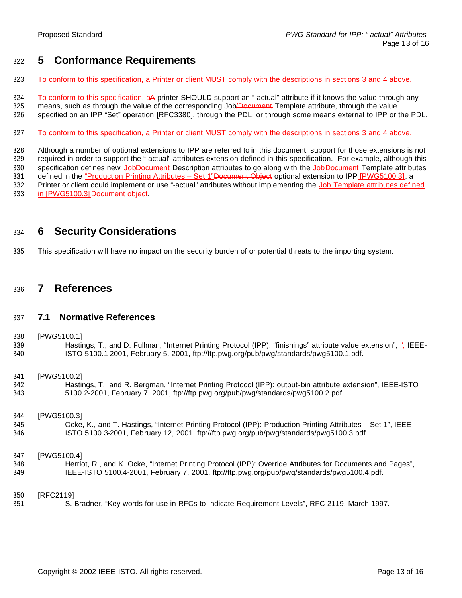## **5 Conformance Requirements**

To conform to this specification, a Printer or client MUST comply with the descriptions in sections 3 and 4 above.

324 To conform to this specification, aA printer SHOULD support an "-actual" attribute if it knows the value through any 325 means, such as through the value of the corresponding Job/Document Template attribute, through the value specified on an IPP "Set" operation [RFC3380], through the PDL, or through some means external to IPP or the PDL.

327 To conform to this specification, a Printer or client MUST comply with the descriptions in sections 3 and 4 above.

 Although a number of optional extensions to IPP are referred to in this document, support for those extensions is not required in order to support the "-actual" attributes extension defined in this specification. For example, although this 330 specification defines new JobDocument Description attributes to go along with the JobDocument Template attributes 331 defined in the "Production Printing Attributes – Set 1"Document Object optional extension to IPP [PWG5100.3], a 332 Printer or client could implement or use "-actual" attributes without implementing the Job Template attributes defined in [PWG5100.3] Document object.

## **6 Security Considerations**

This specification will have no impact on the security burden of or potential threats to the importing system.

## **7 References**

### **7.1 Normative References**

- [PWG5100.1]
- 339 Hastings, T., and D. Fullman, "Internet Printing Protocol (IPP): "finishings" attribute value extension",  $\frac{m}{r}$  IEEE-ISTO 5100.1-2001, February 5, 2001, ftp://ftp.pwg.org/pub/pwg/standards/pwg5100.1.pdf.
- [PWG5100.2]
- Hastings, T., and R. Bergman, "Internet Printing Protocol (IPP): output-bin attribute extension", IEEE-ISTO 5100.2-2001, February 7, 2001, ftp://ftp.pwg.org/pub/pwg/standards/pwg5100.2.pdf.

[PWG5100.3]

 Ocke, K., and T. Hastings, "Internet Printing Protocol (IPP): Production Printing Attributes – Set 1", IEEE-ISTO 5100.3-2001, February 12, 2001, ftp://ftp.pwg.org/pub/pwg/standards/pwg5100.3.pdf.

### [PWG5100.4]

 Herriot, R., and K. Ocke, "Internet Printing Protocol (IPP): Override Attributes for Documents and Pages", IEEE-ISTO 5100.4-2001, February 7, 2001, ftp://ftp.pwg.org/pub/pwg/standards/pwg5100.4.pdf.

### [RFC2119]

S. Bradner, "Key words for use in RFCs to Indicate Requirement Levels", RFC 2119, March 1997.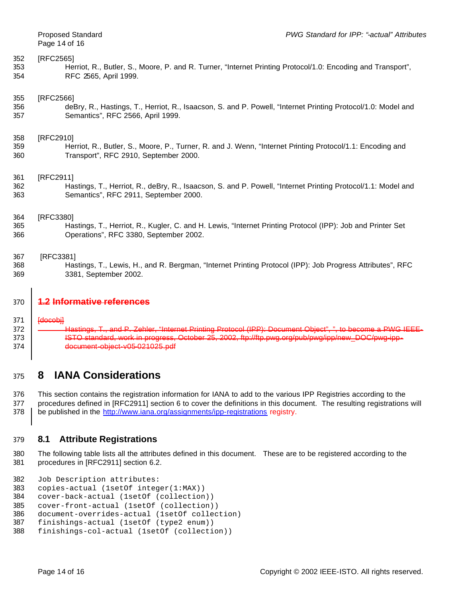Page 14 of 16

#### [RFC2565]

 Herriot, R., Butler, S., Moore, P. and R. Turner, "Internet Printing Protocol/1.0: Encoding and Transport", RFC 2565, April 1999.

#### [RFC2566]

 deBry, R., Hastings, T., Herriot, R., Isaacson, S. and P. Powell, "Internet Printing Protocol/1.0: Model and Semantics", RFC 2566, April 1999.

#### [RFC2910]

 Herriot, R., Butler, S., Moore, P., Turner, R. and J. Wenn, "Internet Printing Protocol/1.1: Encoding and Transport", RFC 2910, September 2000.

#### [RFC2911]

 Hastings, T., Herriot, R., deBry, R., Isaacson, S. and P. Powell, "Internet Printing Protocol/1.1: Model and Semantics", RFC 2911, September 2000.

#### [RFC3380]

 Hastings, T., Herriot, R., Kugler, C. and H. Lewis, "Internet Printing Protocol (IPP): Job and Printer Set Operations", RFC 3380, September 2002.

#### 367 [RFC3381]

 Hastings, T., Lewis, H., and R. Bergman, "Internet Printing Protocol (IPP): Job Progress Attributes", RFC 3381, September 2002.

### **1.2 Informative references**

|  $\sqrt{371}$ 

372 | — Hastings, T., and P. Zehler, "Internet Printing Protocol (IPP): Document Object", ", to become a PWG IEEE-373 ISTO standard, work in progress, October 25, 2002, ftp://ftp.pwg.org/pub/pwg/ipp/new\_DOC/pwg-ipp-document-object-v05-021025.pdf

## **8 IANA Considerations**

 This section contains the registration information for IANA to add to the various IPP Registries according to the procedures defined in [RFC2911] section 6 to cover the definitions in this document. The resulting registrations will 378 be published in the http://www.iana.org/assignments/ipp-registrations registry.

### **8.1 Attribute Registrations**

 The following table lists all the attributes defined in this document. These are to be registered according to the procedures in [RFC2911] section 6.2.

- Job Description attributes:
- copies-actual (1setOf integer(1:MAX))
- cover-back-actual (1setOf (collection))
- cover-front-actual (1setOf (collection))
- document-overrides-actual (1setOf collection)
- 387 finishings-actual (1setOf (type2 enum))<br>388 finishings-col-actual (1setOf (collecti
- finishings-col-actual (1setOf (collection))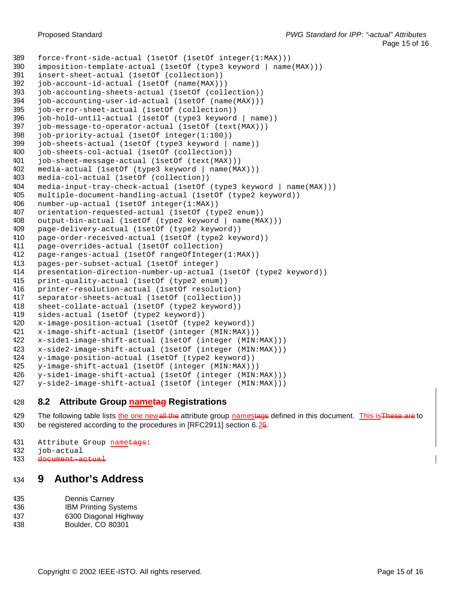```
389 force-front-side-actual (1setOf (1setOf integer(1:MAX)))<br>390 imposition-template-actual (1setOf (type3 keyword | name
     imposition-template-actual (1setOf (type3 keyword | name(MAX)))
391 insert-sheet-actual (1setOf (collection))
392 job-account-id-actual (1setOf (name(MAX)))
393 job-accounting-sheets-actual (1setOf (collection))
394 job-accounting-user-id-actual (1setOf (name(MAX)))
395 job-error-sheet-actual (1setOf (collection))
396 job-hold-until-actual (1setOf (type3 keyword | name))
397 job-message-to-operator-actual (1setOf (text(MAX)))
398 job-priority-actual (1setOf integer(1:100))
399 job-sheets-actual (1setOf (type3 keyword | name))
400 job-sheets-col-actual (1setOf (collection))
401 job-sheet-message-actual (1setOf (text(MAX)))
402 media-actual (1setOf (type3 keyword | name(MAX)))
403 media-col-actual (1setOf (collection))
404 media-input-tray-check-actual (1setOf (type3 keyword | name(MAX)))
405 multiple-document-handling-actual (1setOf (type2 keyword))
406 number-up-actual (1setOf integer(1:MAX))
     orientation-requested-actual (1setOf (type2 enum))
408 output-bin-actual (1setOf (type2 keyword | name(MAX)))
409 page-delivery-actual (1setOf (type2 keyword))
410 page-order-received-actual (1setOf (type2 keyword))
411 page-overrides-actual (1setOf collection)
412 page-ranges-actual (1setOf rangeOfInteger(1:MAX))
413 pages-per-subset-actual (1setOf integer)
414 presentation-direction-number-up-actual (1setOf (type2 keyword))
415 print-quality-actual (1setOf (type2 enum))
416 printer-resolution-actual (1setOf resolution)
417 separator-sheets-actual (1setOf (collection))
418 sheet-collate-actual (1setOf (type2 keyword))
419 sides-actual (1setOf (type2 keyword))
420 x-image-position-actual (1setOf (type2 keyword))
     x-image-shift-actual (1setOf (integer (MIN:MAX)))
422 x-side1-image-shift-actual (1setOf (integer (MIN:MAX)))
423 x-side2-image-shift-actual (1setOf (integer (MIN:MAX)))
     424 y-image-position-actual (1setOf (type2 keyword))
425 y-image-shift-actual (1setOf (integer (MIN:MAX)))
426 y-side1-image-shift-actual (1setOf (integer (MIN:MAX)))
427 y-side2-image-shift-actual (1setOf (integer (MIN:MAX)))
```
## **8.2 Attribute Group nametag Registrations**

429 The following table lists the one newall the attribute group namestags defined in this document. This is These are to 430 be registered according to the procedures in [RFC2911] section 6.25.

- 431 Attribute Group nametags:
- job-actual
- document-actual

## **9 Author's Address**

- Dennis Carney
- IBM Printing Systems
- 6300 Diagonal Highway
- Boulder, CO 80301